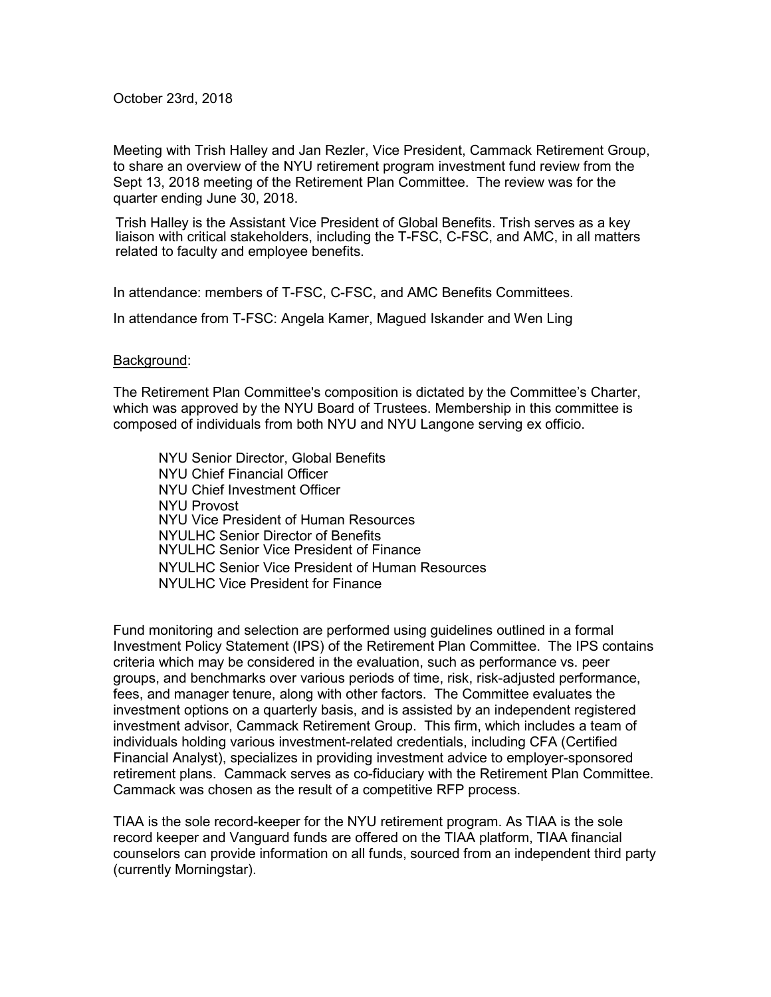October 23rd, 2018

Meeting with Trish Halley and Jan Rezler, Vice President, Cammack Retirement Group, to share an overview of the NYU retirement program investment fund review from the Sept 13, 2018 meeting of the Retirement Plan Committee. The review was for the quarter ending June 30, 2018.

Trish Halley is the Assistant Vice President of Global Benefits. Trish serves as a key liaison with critical stakeholders, including the T-FSC, C-FSC, and AMC, in all matters related to faculty and employee benefits.

In attendance: members of T-FSC, C-FSC, and AMC Benefits Committees.

In attendance from T-FSC: Angela Kamer, Magued Iskander and Wen Ling

## Background:

The Retirement Plan Committee's composition is dictated by the Committee's Charter, which was approved by the NYU Board of Trustees. Membership in this committee is composed of individuals from both NYU and NYU Langone serving ex officio.

NYU Senior Director, Global Benefits NYU Chief Financial Officer NYU Chief Investment Officer NYU Provost NYU Vice President of Human Resources NYULHC Senior Director of Benefits NYULHC Senior Vice President of Finance NYULHC Senior Vice President of Human Resources NYULHC Vice President for Finance

Fund monitoring and selection are performed using guidelines outlined in a formal Investment Policy Statement (IPS) of the Retirement Plan Committee. The IPS contains criteria which may be considered in the evaluation, such as performance vs. peer groups, and benchmarks over various periods of time, risk, risk-adjusted performance, fees, and manager tenure, along with other factors. The Committee evaluates the investment options on a quarterly basis, and is assisted by an independent registered investment advisor, Cammack Retirement Group. This firm, which includes a team of individuals holding various investment-related credentials, including CFA (Certified Financial Analyst), specializes in providing investment advice to employer-sponsored retirement plans. Cammack serves as co-fiduciary with the Retirement Plan Committee. Cammack was chosen as the result of a competitive RFP process.

TIAA is the sole record-keeper for the NYU retirement program. As TIAA is the sole record keeper and Vanguard funds are offered on the TIAA platform, TIAA financial counselors can provide information on all funds, sourced from an independent third party (currently Morningstar).